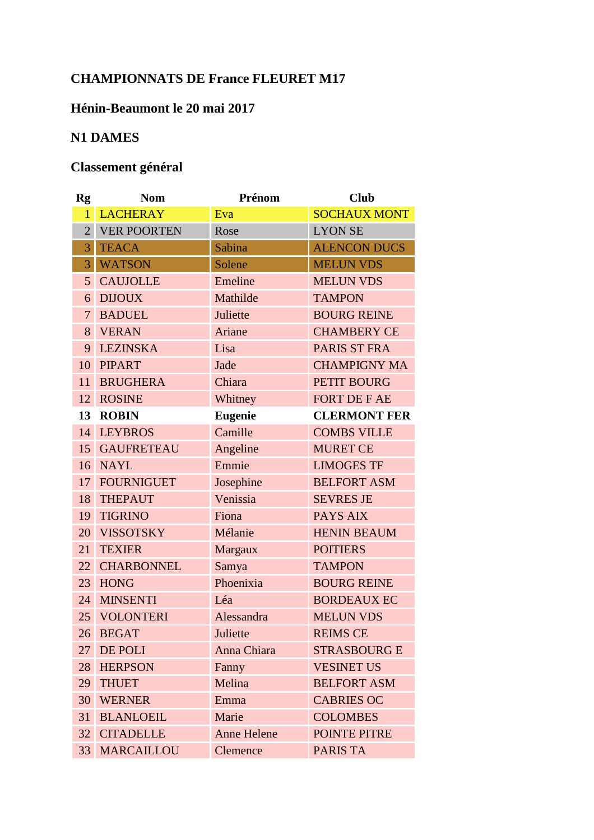## **CHAMPIONNATS DE France FLEURET M17**

## **Hénin-Beaumont le 20 mai 2017**

## **N1 DAMES**

## **Classement général**

| <b>Rg</b>       | <b>Nom</b>           | Prénom             | <b>Club</b>         |
|-----------------|----------------------|--------------------|---------------------|
| $\mathbf{1}$    | <b>LACHERAY</b>      | Eva                | <b>SOCHAUX MONT</b> |
|                 | 2 VER POORTEN        | Rose               | <b>LYON SE</b>      |
| $\overline{3}$  | <b>TEACA</b>         | Sabina             | <b>ALENCON DUCS</b> |
| 3 <sup>1</sup>  | <b>WATSON</b>        | Solene             | <b>MELUN VDS</b>    |
|                 | 5 CAUJOLLE           | Emeline            | <b>MELUN VDS</b>    |
| 6 <sup>1</sup>  | <b>DIJOUX</b>        | Mathilde           | <b>TAMPON</b>       |
|                 | 7 BADUEL             | Juliette           | <b>BOURG REINE</b>  |
|                 | 8 VERAN              | Ariane             | <b>CHAMBERY CE</b>  |
| 9               | <b>LEZINSKA</b>      | Lisa               | PARIS ST FRA        |
|                 | 10 PIPART            | Jade               | <b>CHAMPIGNY MA</b> |
| 11 <sup>1</sup> | <b>BRUGHERA</b>      | Chiara             | PETIT BOURG         |
|                 | 12 ROSINE            | Whitney            | <b>FORT DE F AE</b> |
|                 | 13 ROBIN             | <b>Eugenie</b>     | <b>CLERMONT FER</b> |
|                 | 14 LEYBROS           | Camille            | <b>COMBS VILLE</b>  |
|                 | <b>15 GAUFRETEAU</b> | Angeline           | <b>MURET CE</b>     |
|                 | 16 NAYL              | Emmie              | <b>LIMOGES TF</b>   |
|                 | 17 FOURNIGUET        | Josephine          | <b>BELFORT ASM</b>  |
|                 | 18 THEPAUT           | Venissia           | <b>SEVRES JE</b>    |
|                 | 19 TIGRINO           | Fiona              | PAYS AIX            |
|                 | 20 VISSOTSKY         | Mélanie            | <b>HENIN BEAUM</b>  |
| 21              | <b>TEXIER</b>        | <b>Margaux</b>     | <b>POITIERS</b>     |
|                 | 22 CHARBONNEL        | Samya              | <b>TAMPON</b>       |
|                 | 23 HONG              | Phoenixia          | <b>BOURG REINE</b>  |
|                 | 24 MINSENTI          | Léa                | <b>BORDEAUX EC</b>  |
|                 | 25 VOLONTERI         | Alessandra         | <b>MELUN VDS</b>    |
|                 | 26 BEGAT             | Juliette           | <b>REIMS CE</b>     |
| 27              | DE POLI              | Anna Chiara        | <b>STRASBOURG E</b> |
| 28              | <b>HERPSON</b>       | Fanny              | <b>VESINET US</b>   |
| 29              | <b>THUET</b>         | Melina             | <b>BELFORT ASM</b>  |
| 30              | <b>WERNER</b>        | Emma               | <b>CABRIES OC</b>   |
| 31              | <b>BLANLOEIL</b>     | Marie              | <b>COLOMBES</b>     |
| 32              | <b>CITADELLE</b>     | <b>Anne Helene</b> | <b>POINTE PITRE</b> |
| 33              | <b>MARCAILLOU</b>    | Clemence           | PARIS TA            |